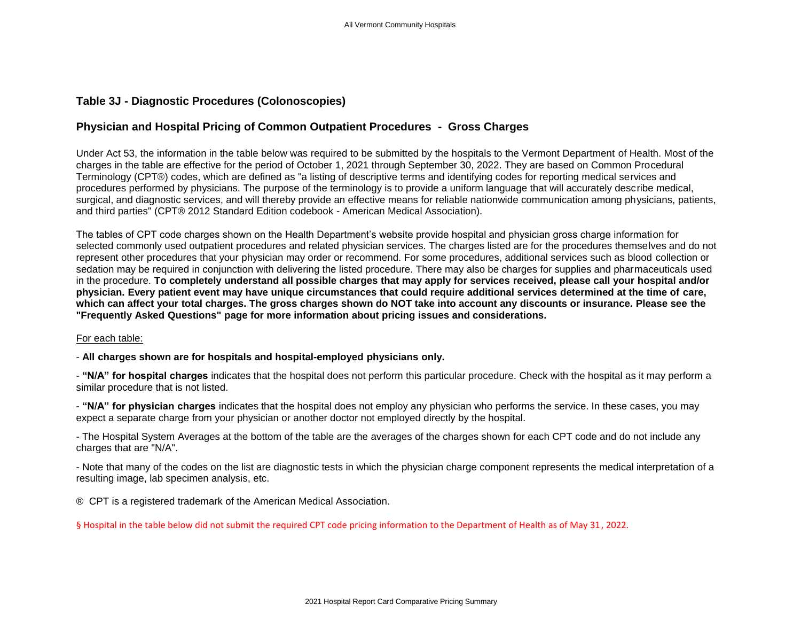## **Table 3J - Diagnostic Procedures (Colonoscopies)**

## **Physician and Hospital Pricing of Common Outpatient Procedures - Gross Charges**

Under Act 53, the information in the table below was required to be submitted by the hospitals to the Vermont Department of Health. Most of the charges in the table are effective for the period of October 1, 2021 through September 30, 2022. They are based on Common Procedural Terminology (CPT®) codes, which are defined as "a listing of descriptive terms and identifying codes for reporting medical services and procedures performed by physicians. The purpose of the terminology is to provide a uniform language that will accurately describe medical, surgical, and diagnostic services, and will thereby provide an effective means for reliable nationwide communication among physicians, patients, and third parties" (CPT® 2012 Standard Edition codebook - American Medical Association).

The tables of CPT code charges shown on the Health Department's website provide hospital and physician gross charge information for selected commonly used outpatient procedures and related physician services. The charges listed are for the procedures themselves and do not represent other procedures that your physician may order or recommend. For some procedures, additional services such as blood collection or sedation may be required in conjunction with delivering the listed procedure. There may also be charges for supplies and pharmaceuticals used in the procedure. **To completely understand all possible charges that may apply for services received, please call your hospital and/or physician. Every patient event may have unique circumstances that could require additional services determined at the time of care, which can affect your total charges. The gross charges shown do NOT take into account any discounts or insurance. Please see the "Frequently Asked Questions" page for more information about pricing issues and considerations.**

## For each table:

- **All charges shown are for hospitals and hospital-employed physicians only.**

- **"N/A" for hospital charges** indicates that the hospital does not perform this particular procedure. Check with the hospital as it may perform a similar procedure that is not listed.

- **"N/A" for physician charges** indicates that the hospital does not employ any physician who performs the service. In these cases, you may expect a separate charge from your physician or another doctor not employed directly by the hospital.

- The Hospital System Averages at the bottom of the table are the averages of the charges shown for each CPT code and do not include any charges that are "N/A".

- Note that many of the codes on the list are diagnostic tests in which the physician charge component represents the medical interpretation of a resulting image, lab specimen analysis, etc.

® CPT is a registered trademark of the American Medical Association.

§ Hospital in the table below did not submit the required CPT code pricing information to the Department of Health as of May 31, 2022.